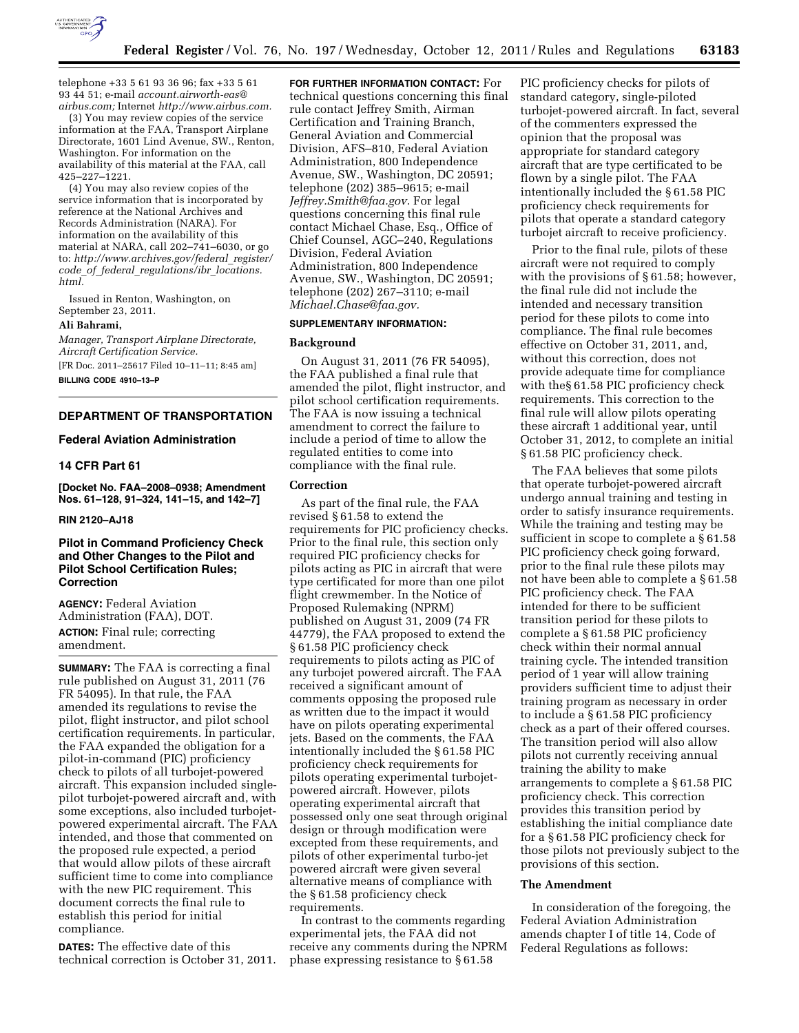

telephone +33 5 61 93 36 96; fax +33 5 61 93 44 51; e-mail *[account.airworth-eas@](mailto:account.airworth-eas@airbus.com) [airbus.com;](mailto:account.airworth-eas@airbus.com)* Internet *[http://www.airbus.com.](http://www.airbus.com)* 

(3) You may review copies of the service information at the FAA, Transport Airplane Directorate, 1601 Lind Avenue, SW., Renton, Washington. For information on the availability of this material at the FAA, call 425–227–1221.

(4) You may also review copies of the service information that is incorporated by reference at the National Archives and Records Administration (NARA). For information on the availability of this material at NARA, call 202–741–6030, or go to: *[http://www.archives.gov/federal](http://www.archives.gov/federal_register/code_of_federal_regulations/ibr_locations.html)*\_*register/ code*\_*of*\_*federal*\_*[regulations/ibr](http://www.archives.gov/federal_register/code_of_federal_regulations/ibr_locations.html)*\_*locations. [html.](http://www.archives.gov/federal_register/code_of_federal_regulations/ibr_locations.html)* 

Issued in Renton, Washington, on September 23, 2011.

## **Ali Bahrami,**

*Manager, Transport Airplane Directorate, Aircraft Certification Service.* 

[FR Doc. 2011–25617 Filed 10–11–11; 8:45 am]

**BILLING CODE 4910–13–P** 

## **DEPARTMENT OF TRANSPORTATION**

## **Federal Aviation Administration**

## **14 CFR Part 61**

**[Docket No. FAA–2008–0938; Amendment Nos. 61–128, 91–324, 141–15, and 142–7]** 

### **RIN 2120–AJ18**

## **Pilot in Command Proficiency Check and Other Changes to the Pilot and Pilot School Certification Rules; Correction**

**AGENCY:** Federal Aviation Administration (FAA), DOT. **ACTION:** Final rule; correcting amendment.

**SUMMARY:** The FAA is correcting a final rule published on August 31, 2011 (76 FR 54095). In that rule, the FAA amended its regulations to revise the pilot, flight instructor, and pilot school certification requirements. In particular, the FAA expanded the obligation for a pilot-in-command (PIC) proficiency check to pilots of all turbojet-powered aircraft. This expansion included singlepilot turbojet-powered aircraft and, with some exceptions, also included turbojetpowered experimental aircraft. The FAA intended, and those that commented on the proposed rule expected, a period that would allow pilots of these aircraft sufficient time to come into compliance with the new PIC requirement. This document corrects the final rule to establish this period for initial compliance.

**DATES:** The effective date of this technical correction is October 31, 2011.

**FOR FURTHER INFORMATION CONTACT:** For technical questions concerning this final rule contact Jeffrey Smith, Airman Certification and Training Branch, General Aviation and Commercial Division, AFS–810, Federal Aviation Administration, 800 Independence Avenue, SW., Washington, DC 20591; telephone (202) 385–9615; e-mail *[Jeffrey.Smith@faa.gov.](mailto:Jeffrey.Smith@faa.gov)* For legal questions concerning this final rule contact Michael Chase, Esq., Office of Chief Counsel, AGC–240, Regulations Division, Federal Aviation Administration, 800 Independence Avenue, SW., Washington, DC 20591; telephone (202) 267–3110; e-mail *[Michael.Chase@faa.gov.](mailto:Michael.Chase@faa.gov)* 

## **SUPPLEMENTARY INFORMATION:**

## **Background**

On August 31, 2011 (76 FR 54095), the FAA published a final rule that amended the pilot, flight instructor, and pilot school certification requirements. The FAA is now issuing a technical amendment to correct the failure to include a period of time to allow the regulated entities to come into compliance with the final rule.

## **Correction**

As part of the final rule, the FAA revised § 61.58 to extend the requirements for PIC proficiency checks. Prior to the final rule, this section only required PIC proficiency checks for pilots acting as PIC in aircraft that were type certificated for more than one pilot flight crewmember. In the Notice of Proposed Rulemaking (NPRM) published on August 31, 2009 (74 FR 44779), the FAA proposed to extend the § 61.58 PIC proficiency check requirements to pilots acting as PIC of any turbojet powered aircraft. The FAA received a significant amount of comments opposing the proposed rule as written due to the impact it would have on pilots operating experimental jets. Based on the comments, the FAA intentionally included the § 61.58 PIC proficiency check requirements for pilots operating experimental turbojetpowered aircraft. However, pilots operating experimental aircraft that possessed only one seat through original design or through modification were excepted from these requirements, and pilots of other experimental turbo-jet powered aircraft were given several alternative means of compliance with the § 61.58 proficiency check requirements.

In contrast to the comments regarding experimental jets, the FAA did not receive any comments during the NPRM phase expressing resistance to § 61.58

PIC proficiency checks for pilots of standard category, single-piloted turbojet-powered aircraft. In fact, several of the commenters expressed the opinion that the proposal was appropriate for standard category aircraft that are type certificated to be flown by a single pilot. The FAA intentionally included the § 61.58 PIC proficiency check requirements for pilots that operate a standard category turbojet aircraft to receive proficiency.

Prior to the final rule, pilots of these aircraft were not required to comply with the provisions of § 61.58; however, the final rule did not include the intended and necessary transition period for these pilots to come into compliance. The final rule becomes effective on October 31, 2011, and, without this correction, does not provide adequate time for compliance with the§ 61.58 PIC proficiency check requirements. This correction to the final rule will allow pilots operating these aircraft 1 additional year, until October 31, 2012, to complete an initial § 61.58 PIC proficiency check.

The FAA believes that some pilots that operate turbojet-powered aircraft undergo annual training and testing in order to satisfy insurance requirements. While the training and testing may be sufficient in scope to complete a § 61.58 PIC proficiency check going forward, prior to the final rule these pilots may not have been able to complete a § 61.58 PIC proficiency check. The FAA intended for there to be sufficient transition period for these pilots to complete a § 61.58 PIC proficiency check within their normal annual training cycle. The intended transition period of 1 year will allow training providers sufficient time to adjust their training program as necessary in order to include a § 61.58 PIC proficiency check as a part of their offered courses. The transition period will also allow pilots not currently receiving annual training the ability to make arrangements to complete a § 61.58 PIC proficiency check. This correction provides this transition period by establishing the initial compliance date for a § 61.58 PIC proficiency check for those pilots not previously subject to the provisions of this section.

#### **The Amendment**

In consideration of the foregoing, the Federal Aviation Administration amends chapter I of title 14, Code of Federal Regulations as follows: